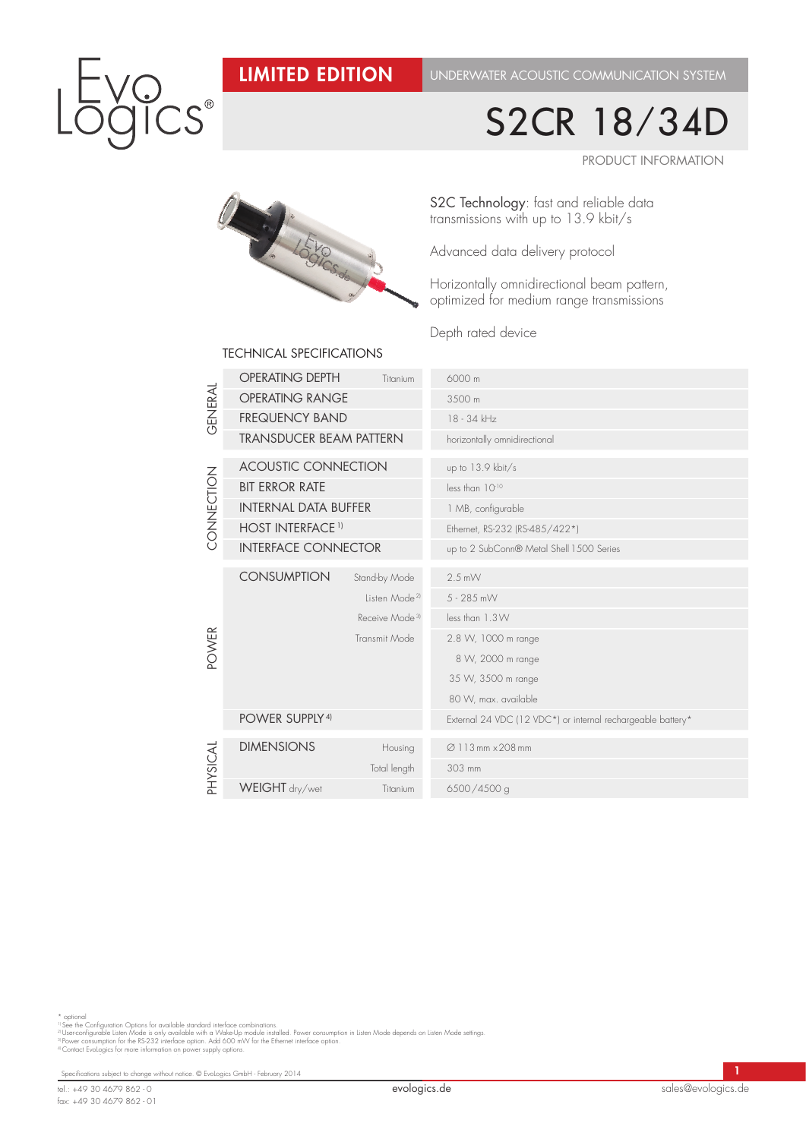### Limited Edition

Underwater acoustic communication system

# $S^{\circ}$

## S2CR 18/34D

Product information



S2C Technology: fast and reliable data transmissions with up to 13.9 kbit/s

Advanced data delivery protocol

Horizontally omnidirectional beam pattern, optimized for medium range transmissions

Depth rated device

|                 | <b>OPERATING DEPTH</b>         | Titanium                   | 6000 m                                                      |  |  |
|-----------------|--------------------------------|----------------------------|-------------------------------------------------------------|--|--|
| GENERAL         | <b>OPERATING RANGE</b>         |                            | 3500 m                                                      |  |  |
|                 | <b>FREQUENCY BAND</b>          |                            | 18 - 34 kHz                                                 |  |  |
|                 | <b>TRANSDUCER BEAM PATTERN</b> |                            | horizontally omnidirectional                                |  |  |
| <b>ZONDENTO</b> | <b>ACOUSTIC CONNECTION</b>     |                            | up to 13.9 kbit/s                                           |  |  |
|                 | <b>BIT ERROR RATE</b>          |                            | less than 1010                                              |  |  |
|                 | <b>INTERNAL DATA BUFFER</b>    |                            | 1 MB, configurable                                          |  |  |
|                 | <b>HOST INTERFACE 1)</b>       |                            | Ethernet, RS-232 (RS-485/422*)                              |  |  |
|                 | <b>INTERFACE CONNECTOR</b>     |                            | up to 2 SubConn® Metal Shell 1500 Series                    |  |  |
| POWER           | <b>CONSUMPTION</b>             | Stand-by Mode              | $2.5$ mW                                                    |  |  |
|                 |                                | Listen Mode <sup>21</sup>  | $5 - 285$ mW                                                |  |  |
|                 |                                | Receive Mode <sup>31</sup> | less than 1.3W                                              |  |  |
|                 |                                | Transmit Mode              | 2.8 W, 1000 m range                                         |  |  |
|                 |                                |                            | 8 W, 2000 m range                                           |  |  |
|                 |                                |                            | 35 W, 3500 m range                                          |  |  |
|                 |                                |                            | 80 W, max. available                                        |  |  |
|                 | POWER SUPPLY <sup>4)</sup>     |                            | External 24 VDC (12 VDC*) or internal rechargeable battery* |  |  |
| PHYSICAL        | <b>DIMENSIONS</b>              | Housing                    | Ø 113 mm × 208 mm                                           |  |  |
|                 |                                | Total length               | 303 mm                                                      |  |  |
|                 | WEIGHT dry/wet                 | Titanium                   | 6500/4500 g                                                 |  |  |

#### technical specifications

\* optional<br>"I See the Configuration Options for available standard interface combinations.<br>"I Userconfigurable Listen Mode is only available with a Wake-Up module installed. Power consumption in Listen Mode depends on List

Specifications subject to change without notice. © EvoLogics GmbH - February 2014